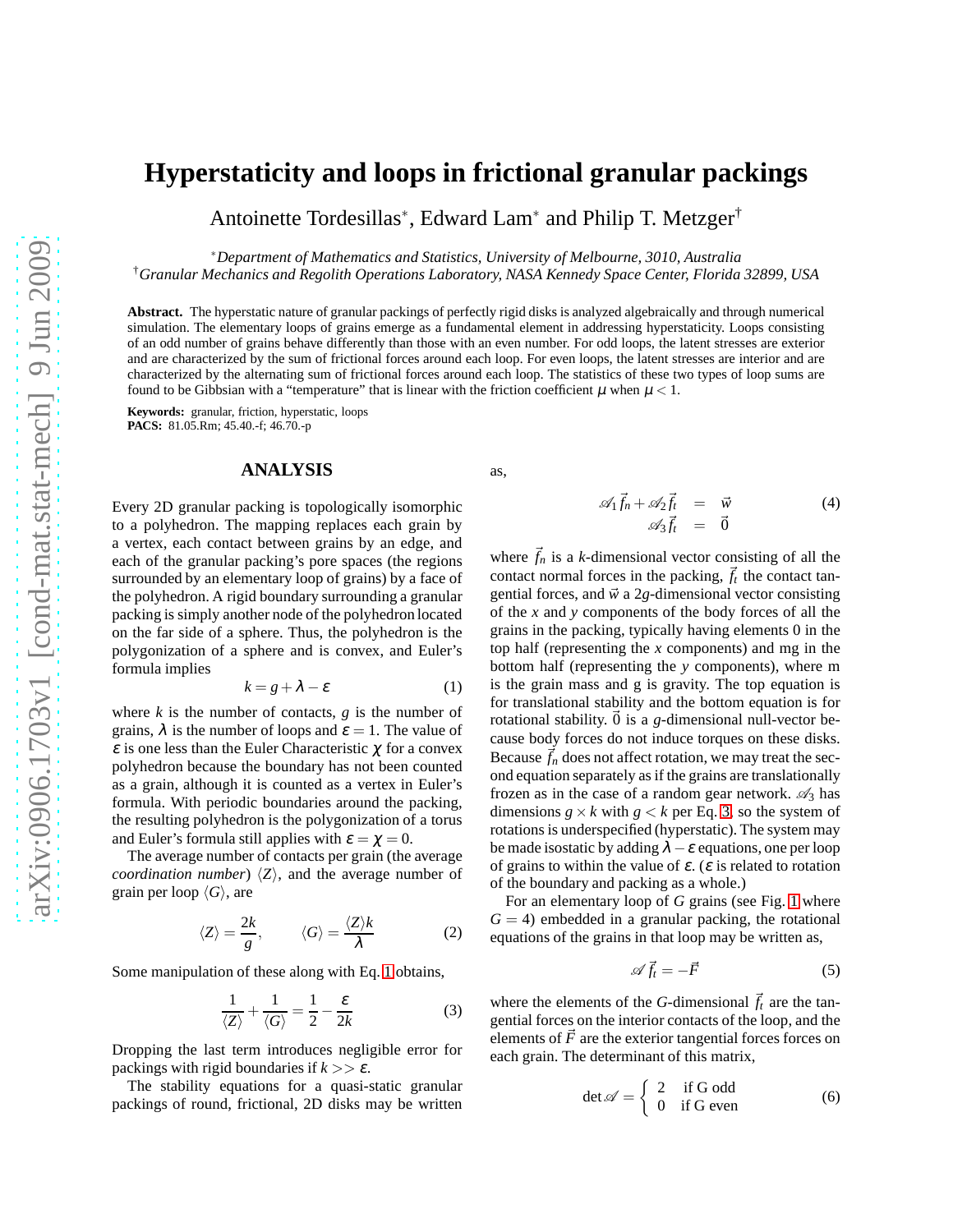# **Hyperstaticity and loops in frictional granular packings**

Antoinette Tordesillas<sup>∗</sup> , Edward Lam<sup>∗</sup> and Philip T. Metzger†

∗*Department of Mathematics and Statistics, University of Melbourne, 3010, Australia*

†*Granular Mechanics and Regolith Operations Laboratory, NASA Kennedy Space Center, Florida 32899, USA*

**Abstract.** The hyperstatic nature of granular packings of perfectly rigid disks is analyzed algebraically and through numerical simulation. The elementary loops of grains emerge as a fundamental element in addressing hyperstaticity. Loops consisting of an odd number of grains behave differently than those with an even number. For odd loops, the latent stresses are exterior and are characterized by the sum of frictional forces around each loop. For even loops, the latent stresses are interior and are characterized by the alternating sum of frictional forces around each loop. The statistics of these two types of loop sums are found to be Gibbsian with a "temperature" that is linear with the friction coefficient  $\mu$  when  $\mu < 1$ .

**Keywords:** granular, friction, hyperstatic, loops **PACS:** 81.05.Rm; 45.40.-f; 46.70.-p

### **ANALYSIS**

Every 2D granular packing is topologically isomorphic to a polyhedron. The mapping replaces each grain by a vertex, each contact between grains by an edge, and each of the granular packing's pore spaces (the regions surrounded by an elementary loop of grains) by a face of the polyhedron. A rigid boundary surrounding a granular packing is simply another node of the polyhedron located on the far side of a sphere. Thus, the polyhedron is the polygonization of a sphere and is convex, and Euler's formula implies

<span id="page-0-0"></span>
$$
k = g + \lambda - \varepsilon \tag{1}
$$

where  $k$  is the number of contacts,  $g$  is the number of grains,  $\lambda$  is the number of loops and  $\varepsilon = 1$ . The value of  $\varepsilon$  is one less than the Euler Characteristic  $\chi$  for a convex polyhedron because the boundary has not been counted as a grain, although it is counted as a vertex in Euler's formula. With periodic boundaries around the packing, the resulting polyhedron is the polygonization of a torus and Euler's formula still applies with  $\varepsilon = \chi = 0$ .

The average number of contacts per grain (the average *coordination number*)  $\langle Z \rangle$ , and the average number of grain per loop  $\langle G \rangle$ , are

$$
\langle Z \rangle = \frac{2k}{g}, \qquad \langle G \rangle = \frac{\langle Z \rangle k}{\lambda} \tag{2}
$$

Some manipulation of these along with Eq. [1](#page-0-0) obtains,

<span id="page-0-1"></span>
$$
\frac{1}{\langle Z \rangle} + \frac{1}{\langle G \rangle} = \frac{1}{2} - \frac{\varepsilon}{2k}
$$
 (3)

Dropping the last term introduces negligible error for packings with rigid boundaries if  $k \geq \varepsilon$ .

The stability equations for a quasi-static granular packings of round, frictional, 2D disks may be written as,

$$
\begin{array}{rcl}\n\mathscr{A}_1 \vec{f}_n + \mathscr{A}_2 \vec{f}_t & = & \vec{w} \\
\mathscr{A}_3 \vec{f}_t & = & \vec{0}\n\end{array} \tag{4}
$$

where  $\vec{f}_n$  is a *k*-dimensional vector consisting of all the contact normal forces in the packing,  $\vec{f}_t$  the contact tangential forces, and  $\vec{w}$  a 2*g*-dimensional vector consisting of the *x* and *y* components of the body forces of all the grains in the packing, typically having elements 0 in the top half (representing the *x* components) and mg in the bottom half (representing the *y* components), where m is the grain mass and g is gravity. The top equation is for translational stability and the bottom equation is for rotational stability.  $\vec{0}$  is a *g*-dimensional null-vector because body forces do not induce torques on these disks. Because  $\vec{f}_n$  does not affect rotation, we may treat the second equation separately as if the grains are translationally frozen as in the case of a random gear network.  $\mathcal{A}_3$  has dimensions  $g \times k$  with  $g \lt k$  per Eq. [3,](#page-0-1) so the system of rotations is underspecified (hyperstatic). The system may be made isostatic by adding  $\lambda - \varepsilon$  equations, one per loop of grains to within the value of  $\varepsilon$ . ( $\varepsilon$  is related to rotation of the boundary and packing as a whole.)

For an elementary loop of *G* grains (see Fig. [1](#page-1-0) where  $G = 4$ ) embedded in a granular packing, the rotational equations of the grains in that loop may be written as,

$$
\mathscr{A}\vec{f}_t = -\vec{F} \tag{5}
$$

where the elements of the *G*-dimensional  $\vec{f}_t$  are the tangential forces on the interior contacts of the loop, and the elements of  $\vec{F}$  are the exterior tangential forces forces on each grain. The determinant of this matrix,

$$
\det \mathscr{A} = \begin{cases} 2 & \text{if } G \text{ odd} \\ 0 & \text{if } G \text{ even} \end{cases} \tag{6}
$$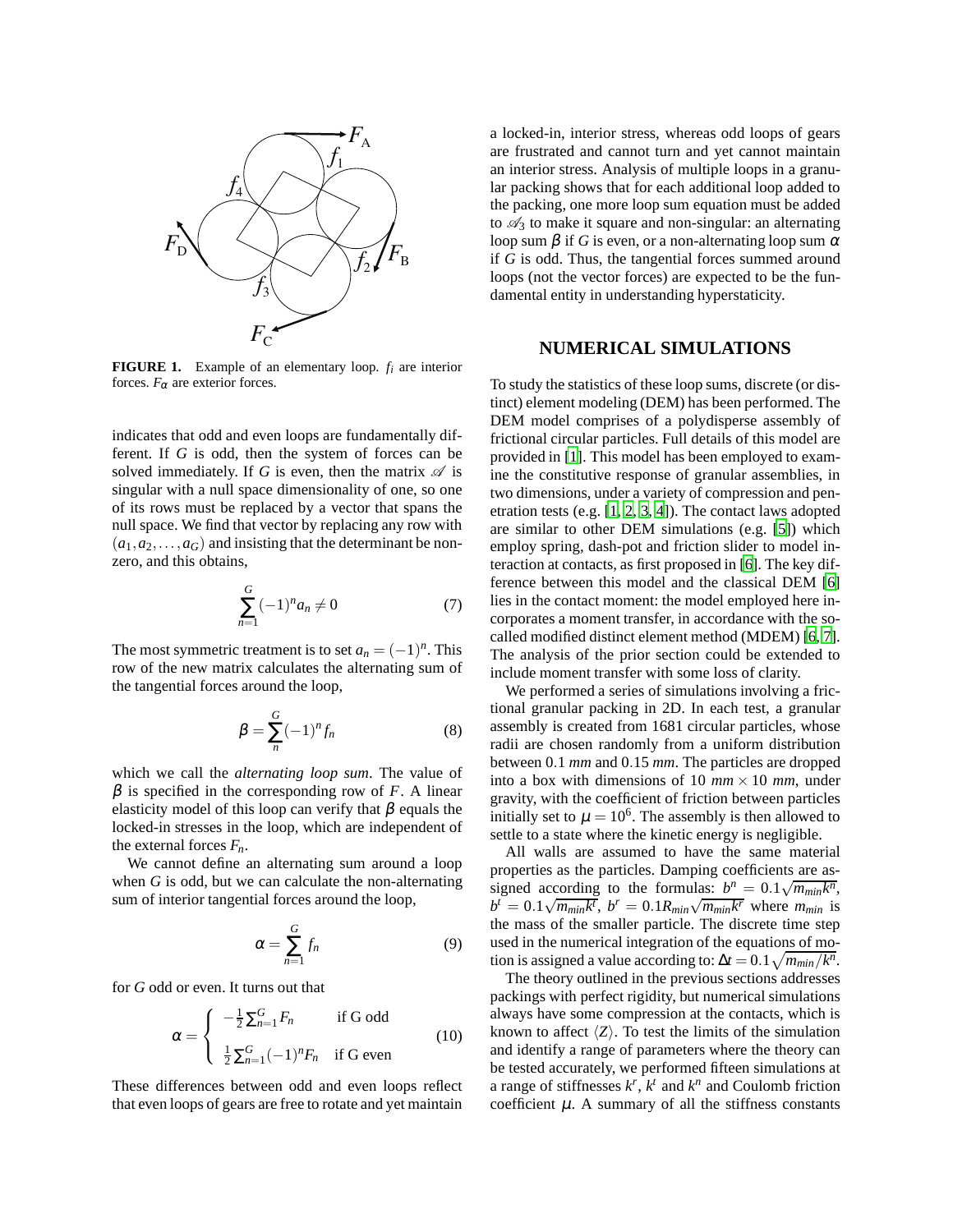

<span id="page-1-0"></span>**FIGURE 1.** Example of an elementary loop. *f<sup>i</sup>* are interior forces.  $F_{\alpha}$  are exterior forces.

indicates that odd and even loops are fundamentally different. If *G* is odd, then the system of forces can be solved immediately. If *G* is even, then the matrix  $\mathscr A$  is singular with a null space dimensionality of one, so one of its rows must be replaced by a vector that spans the null space. We find that vector by replacing any row with  $(a_1, a_2, \ldots, a_G)$  and insisting that the determinant be nonzero, and this obtains,

$$
\sum_{n=1}^{G} (-1)^{n} a_{n} \neq 0 \tag{7}
$$

The most symmetric treatment is to set  $a_n = (-1)^n$ . This row of the new matrix calculates the alternating sum of the tangential forces around the loop,

$$
\beta = \sum_{n}^{G} (-1)^n f_n \tag{8}
$$

which we call the *alternating loop sum*. The value of  $β$  is specified in the corresponding row of *F*. A linear elasticity model of this loop can verify that  $\beta$  equals the locked-in stresses in the loop, which are independent of the external forces  $F_n$ .

We cannot define an alternating sum around a loop when *G* is odd, but we can calculate the non-alternating sum of interior tangential forces around the loop,

$$
\alpha = \sum_{n=1}^{G} f_n \tag{9}
$$

for *G* odd or even. It turns out that

$$
\alpha = \begin{cases}\n-\frac{1}{2}\sum_{n=1}^{G} F_n & \text{if } G \text{ odd} \\
\frac{1}{2}\sum_{n=1}^{G}(-1)^n F_n & \text{if } G \text{ even}\n\end{cases}
$$
\n(10)

These differences between odd and even loops reflect that even loops of gears are free to rotate and yet maintain a locked-in, interior stress, whereas odd loops of gears are frustrated and cannot turn and yet cannot maintain an interior stress. Analysis of multiple loops in a granular packing shows that for each additional loop added to the packing, one more loop sum equation must be added to  $\mathcal{A}_3$  to make it square and non-singular: an alternating loop sum  $\beta$  if *G* is even, or a non-alternating loop sum  $\alpha$ if *G* is odd. Thus, the tangential forces summed around loops (not the vector forces) are expected to be the fundamental entity in understanding hyperstaticity.

#### **NUMERICAL SIMULATIONS**

To study the statistics of these loop sums, discrete (or distinct) element modeling (DEM) has been performed. The DEM model comprises of a polydisperse assembly of frictional circular particles. Full details of this model are provided in [\[1](#page-3-0)]. This model has been employed to examine the constitutive response of granular assemblies, in two dimensions, under a variety of compression and penetration tests (e.g. [\[1,](#page-3-0) [2,](#page-3-1) [3,](#page-3-2) [4\]](#page-3-3)). The contact laws adopted are similar to other DEM simulations (e.g. [\[5](#page-3-4)]) which employ spring, dash-pot and friction slider to model interaction at contacts, as first proposed in [\[6\]](#page-3-5). The key difference between this model and the classical DEM [\[6\]](#page-3-5) lies in the contact moment: the model employed here incorporates a moment transfer, in accordance with the socalled modified distinct element method (MDEM) [\[6,](#page-3-5) [7](#page-3-6)]. The analysis of the prior section could be extended to include moment transfer with some loss of clarity.

We performed a series of simulations involving a frictional granular packing in 2D. In each test, a granular assembly is created from 1681 circular particles, whose radii are chosen randomly from a uniform distribution between 0.1 *mm* and 0.15 *mm*. The particles are dropped into a box with dimensions of 10  $mm \times 10$  mm, under gravity, with the coefficient of friction between particles initially set to  $\mu = 10^6$ . The assembly is then allowed to settle to a state where the kinetic energy is negligible.

All walls are assumed to have the same material properties as the particles. Damping coefficients are assigned according to the formulas:  $b^n = 0.1 \sqrt{m_{min} k^n}$ ,  $b^t = 0.1\sqrt{m_{min}k^t}, b^r = 0.1R_{min}\sqrt{m_{min}k^r}$  where  $m_{min}$  is the mass of the smaller particle. The discrete time step used in the numerical integration of the equations of motion is assigned a value according to:  $\Delta t = 0.1 \sqrt{m_{min}/k^n}$ .

The theory outlined in the previous sections addresses packings with perfect rigidity, but numerical simulations always have some compression at the contacts, which is known to affect  $\langle Z \rangle$ . To test the limits of the simulation and identify a range of parameters where the theory can be tested accurately, we performed fifteen simulations at a range of stiffnesses  $k^r$ ,  $k^t$  and  $k^n$  and Coulomb friction coefficient  $\mu$ . A summary of all the stiffness constants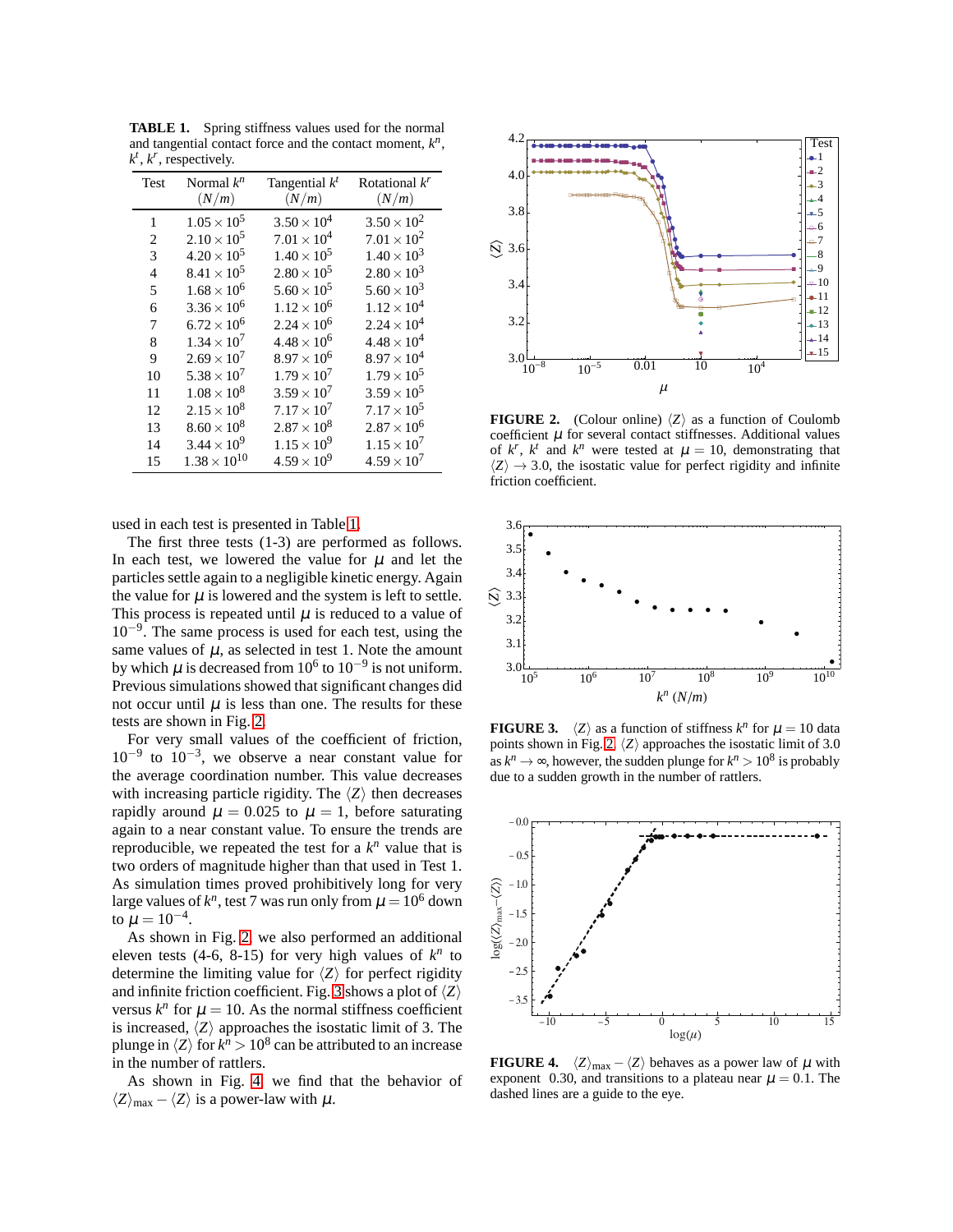| Test           | Normal $k^n$<br>(N/m) | Tangential $k^t$<br>(N/m) | Rotational $k^r$<br>(N/m) |
|----------------|-----------------------|---------------------------|---------------------------|
| 1              | $1.05 \times 10^{5}$  | $3.50 \times 10^{4}$      | $3.50 \times 10^{2}$      |
| 2              | $2.10 \times 10^{5}$  | $7.01 \times 10^{4}$      | $7.01 \times 10^{2}$      |
| 3              | $4.20 \times 10^{5}$  | $1.40 \times 10^{5}$      | $1.40 \times 10^{3}$      |
| $\overline{4}$ | $8.41 \times 10^{5}$  | $2.80 \times 10^{5}$      | $2.80 \times 10^{3}$      |
| 5              | $1.68 \times 10^{6}$  | $5.60 \times 10^{5}$      | $5.60 \times 10^{3}$      |
| 6              | $3.36 \times 10^{6}$  | $1.12 \times 10^{6}$      | $1.12 \times 10^{4}$      |
| 7              | $6.72 \times 10^{6}$  | $2.24 \times 10^{6}$      | $2.24 \times 10^{4}$      |
| 8              | $1.34 \times 10^{7}$  | $4.48 \times 10^{6}$      | $4.48 \times 10^{4}$      |
| 9              | $2.69 \times 10^{7}$  | $8.97 \times 10^{6}$      | $8.97 \times 10^{4}$      |
| 10             | $5.38 \times 10^{7}$  | $1.79 \times 10^{7}$      | $1.79 \times 10^{5}$      |
| 11             | $1.08 \times 10^{8}$  | $3.59 \times 10^{7}$      | $3.59 \times 10^{5}$      |
| 12             | $2.15 \times 10^{8}$  | $7.17 \times 10^{7}$      | $7.17 \times 10^{5}$      |
| 13             | $8.60 \times 10^{8}$  | $2.87 \times 10^{8}$      | $2.87 \times 10^{6}$      |
| 14             | $3.44 \times 10^{9}$  | $1.15 \times 10^{9}$      | $1.15 \times 10^{7}$      |
| 15             | $1.38 \times 10^{10}$ | $4.59 \times 10^{9}$      | $4.59 \times 10^{7}$      |

<span id="page-2-0"></span>**TABLE 1.** Spring stiffness values used for the normal and tangential contact force and the contact moment,  $k^n$ ,  $k^t$ ,  $k^r$ , respectively.

used in each test is presented in Table [1.](#page-2-0)

The first three tests (1-3) are performed as follows. In each test, we lowered the value for  $\mu$  and let the particles settle again to a negligible kinetic energy. Again the value for  $\mu$  is lowered and the system is left to settle. This process is repeated until  $\mu$  is reduced to a value of 10−<sup>9</sup> . The same process is used for each test, using the same values of  $\mu$ , as selected in test 1. Note the amount by which  $\mu$  is decreased from 10<sup>6</sup> to 10<sup>-9</sup> is not uniform. Previous simulations showed that significant changes did not occur until  $\mu$  is less than one. The results for these tests are shown in Fig. [2.](#page-2-1)

For very small values of the coefficient of friction,  $10^{-9}$  to  $10^{-3}$ , we observe a near constant value for the average coordination number. This value decreases with increasing particle rigidity. The  $\langle Z \rangle$  then decreases rapidly around  $\mu = 0.025$  to  $\mu = 1$ , before saturating again to a near constant value. To ensure the trends are reproducible, we repeated the test for a  $k^n$  value that is two orders of magnitude higher than that used in Test 1. As simulation times proved prohibitively long for very large values of  $k^n$ , test 7 was run only from  $\mu = 10^6$  down to  $\mu=10^{-4}.$ 

As shown in Fig. [2,](#page-2-1) we also performed an additional eleven tests (4-6, 8-15) for very high values of  $k^n$  to determine the limiting value for  $\langle Z \rangle$  for perfect rigidity and infinite friction coefficient. Fig. [3](#page-2-2) shows a plot of  $\langle Z \rangle$ versus  $k^n$  for  $\mu = 10$ . As the normal stiffness coefficient is increased,  $\langle Z \rangle$  approaches the isostatic limit of 3. The plunge in  $\langle Z \rangle$  for  $k^n > 10^8$  can be attributed to an increase in the number of rattlers.

As shown in Fig. [4,](#page-2-3) we find that the behavior of  $\langle Z \rangle_{\text{max}} - \langle Z \rangle$  is a power-law with  $\mu$ .



<span id="page-2-1"></span>**FIGURE 2.** (Colour online)  $\langle Z \rangle$  as a function of Coulomb coefficient  $\mu$  for several contact stiffnesses. Additional values of  $k^r$ ,  $k^t$  and  $k^n$  were tested at  $\mu = 10$ , demonstrating that  $\langle Z \rangle \rightarrow 3.0$ , the isostatic value for perfect rigidity and infinite friction coefficient.



<span id="page-2-2"></span>**FIGURE 3.**  $\langle Z \rangle$  as a function of stiffness  $k^n$  for  $\mu = 10$  data points shown in Fig. [2.](#page-2-1)  $\langle Z \rangle$  approaches the isostatic limit of 3.0 as  $k^n \to \infty$ , however, the sudden plunge for  $k^n > 10^8$  is probably due to a sudden growth in the number of rattlers.



<span id="page-2-3"></span>**FIGURE 4.**  $\langle Z \rangle_{\text{max}} - \langle Z \rangle$  behaves as a power law of  $\mu$  with exponent 0.30, and transitions to a plateau near  $\mu = 0.1$ . The dashed lines are a guide to the eye.